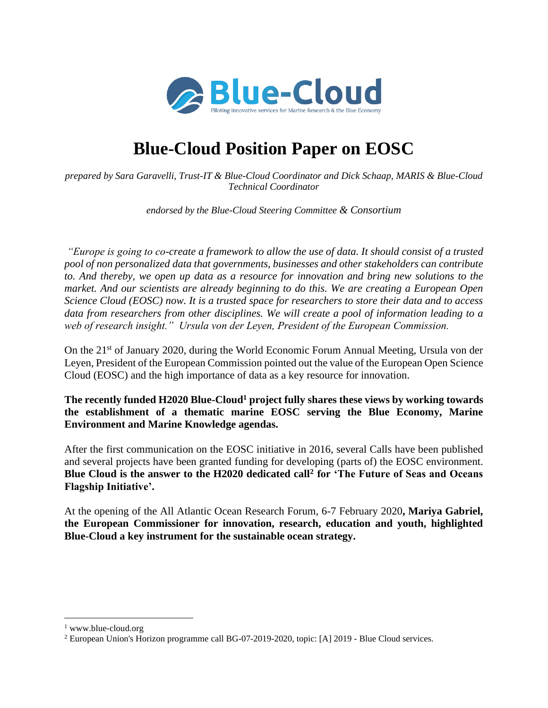

# **Blue-Cloud Position Paper on EOSC**

*prepared by Sara Garavelli, Trust-IT & Blue-Cloud Coordinator and Dick Schaap, MARIS & Blue-Cloud Technical Coordinator*

*endorsed by the Blue-Cloud Steering Committee & Consortium*

*"Europe is going to co-create a framework to allow the use of data. It should consist of a trusted pool of non personalized data that governments, businesses and other stakeholders can contribute to. And thereby, we open up data as a resource for innovation and bring new solutions to the market. And our scientists are already beginning to do this. We are creating a European Open Science Cloud (EOSC) now. It is a trusted space for researchers to store their data and to access data from researchers from other disciplines. We will create a pool of information leading to a web of research insight." Ursula von der Leyen, President of the European Commission.*

On the 21st of January 2020, during the World Economic Forum Annual Meeting, Ursula von der Leyen, President of the European Commission pointed out the value of the European Open Science Cloud (EOSC) and the high importance of data as a key resource for innovation.

**The recently funded H2020 Blue-Cloud<sup>1</sup> project fully shares these views by working towards the establishment of a thematic marine EOSC serving the Blue Economy, Marine Environment and Marine Knowledge agendas.** 

After the first communication on the EOSC initiative in 2016, several Calls have been published and several projects have been granted funding for developing (parts of) the EOSC environment. **Blue Cloud is the answer to the H2020 dedicated call<sup>2</sup> for 'The Future of Seas and Oceans Flagship Initiative'.** 

At the opening of the All Atlantic Ocean Research Forum, 6-7 February 2020**, Mariya Gabriel, the European Commissioner for innovation, research, education and youth, highlighted Blue-Cloud a key instrument for the sustainable ocean strategy.**

<sup>&</sup>lt;sup>1</sup> www.blue-cloud.org

<sup>2</sup> European Union's Horizon programme call BG-07-2019-2020, topic: [A] 2019 - Blue Cloud services.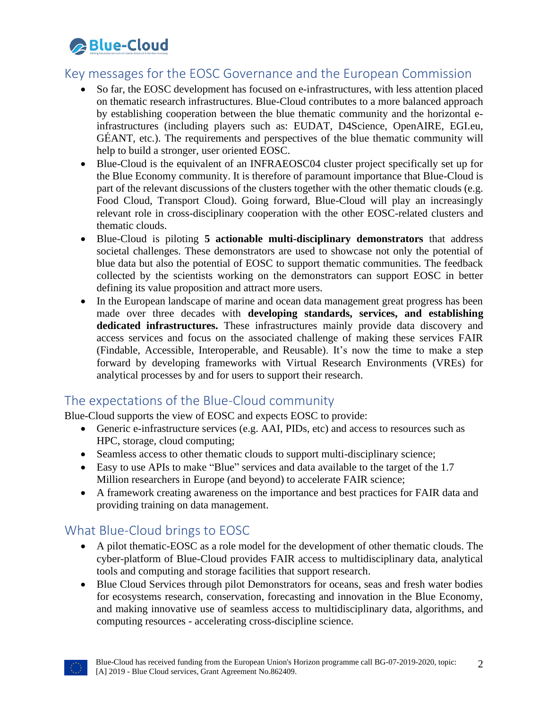

### Key messages for the EOSC Governance and the European Commission

- So far, the EOSC development has focused on e-infrastructures, with less attention placed on thematic research infrastructures. Blue-Cloud contributes to a more balanced approach by establishing cooperation between the blue thematic community and the horizontal einfrastructures (including players such as: EUDAT, D4Science, OpenAIRE, EGI.eu, GÉANT, etc.). The requirements and perspectives of the blue thematic community will help to build a stronger, user oriented EOSC.
- Blue-Cloud is the equivalent of an INFRAEOSC04 cluster project specifically set up for the Blue Economy community. It is therefore of paramount importance that Blue-Cloud is part of the relevant discussions of the clusters together with the other thematic clouds (e.g. Food Cloud, Transport Cloud). Going forward, Blue-Cloud will play an increasingly relevant role in cross-disciplinary cooperation with the other EOSC-related clusters and thematic clouds.
- Blue-Cloud is piloting **5 actionable multi-disciplinary demonstrators** that address societal challenges. These demonstrators are used to showcase not only the potential of blue data but also the potential of EOSC to support thematic communities. The feedback collected by the scientists working on the demonstrators can support EOSC in better defining its value proposition and attract more users.
- In the European landscape of marine and ocean data management great progress has been made over three decades with **developing standards, services, and establishing dedicated infrastructures.** These infrastructures mainly provide data discovery and access services and focus on the associated challenge of making these services FAIR (Findable, Accessible, Interoperable, and Reusable). It's now the time to make a step forward by developing frameworks with Virtual Research Environments (VREs) for analytical processes by and for users to support their research.

#### The expectations of the Blue-Cloud community

Blue-Cloud supports the view of EOSC and expects EOSC to provide:

- Generic e-infrastructure services (e.g. AAI, PIDs, etc) and access to resources such as HPC, storage, cloud computing;
- Seamless access to other thematic clouds to support multi-disciplinary science;
- Easy to use APIs to make "Blue" services and data available to the target of the 1.7 Million researchers in Europe (and beyond) to accelerate FAIR science;
- A framework creating awareness on the importance and best practices for FAIR data and providing training on data management.

# What Blue-Cloud brings to EOSC

- A pilot thematic-EOSC as a role model for the development of other thematic clouds. The cyber-platform of Blue-Cloud provides FAIR access to multidisciplinary data, analytical tools and computing and storage facilities that support research.
- Blue Cloud Services through pilot Demonstrators for oceans, seas and fresh water bodies for ecosystems research, conservation, forecasting and innovation in the Blue Economy, and making innovative use of seamless access to multidisciplinary data, algorithms, and computing resources - accelerating cross-discipline science.

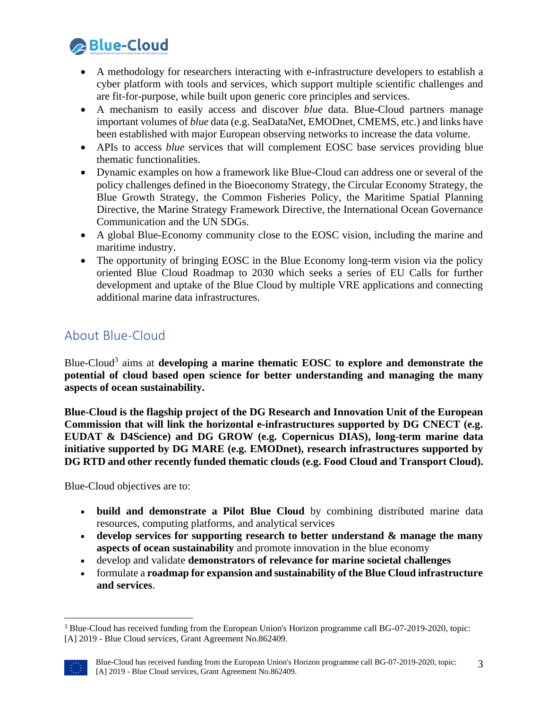

- A methodology for researchers interacting with e-infrastructure developers to establish a cyber platform with tools and services, which support multiple scientific challenges and are fit-for-purpose, while built upon generic core principles and services.
- A mechanism to easily access and discover *blue* data. Blue-Cloud partners manage important volumes of *blue* data (e.g. SeaDataNet, EMODnet, CMEMS, etc.) and links have been established with major European observing networks to increase the data volume.
- APIs to access *blue* services that will complement EOSC base services providing blue thematic functionalities.
- Dynamic examples on how a framework like Blue-Cloud can address one or several of the policy challenges defined in the Bioeconomy Strategy, the Circular Economy Strategy, the Blue Growth Strategy, the Common Fisheries Policy, the Maritime Spatial Planning Directive, the Marine Strategy Framework Directive, the International Ocean Governance Communication and the UN SDGs.
- A global Blue-Economy community close to the EOSC vision, including the marine and maritime industry.
- The opportunity of bringing EOSC in the Blue Economy long-term vision via the policy oriented Blue Cloud Roadmap to 2030 which seeks a series of EU Calls for further development and uptake of the Blue Cloud by multiple VRE applications and connecting additional marine data infrastructures.

# About Blue-Cloud

Blue-Cloud<sup>3</sup> aims at **developing a marine thematic EOSC to explore and demonstrate the potential of cloud based open science for better understanding and managing the many aspects of ocean sustainability.**

**Blue-Cloud is the flagship project of the DG Research and Innovation Unit of the European Commission that will link the horizontal e-infrastructures supported by DG CNECT (e.g. EUDAT & D4Science) and DG GROW (e.g. Copernicus DIAS), long-term marine data initiative supported by DG MARE (e.g. EMODnet), research infrastructures supported by DG RTD and other recently funded thematic clouds (e.g. Food Cloud and Transport Cloud).**

Blue-Cloud objectives are to:

- **build and demonstrate a Pilot Blue Cloud** by combining distributed marine data resources, computing platforms, and analytical services
- **develop services for supporting research to better understand & manage the many aspects of ocean sustainability** and promote innovation in the blue economy
- develop and validate **demonstrators of relevance for marine societal challenges**
- formulate a **roadmap for expansion and sustainability of the Blue Cloud infrastructure and services**.

<sup>3</sup> Blue-Cloud has received funding from the European Union's Horizon programme call BG-07-2019-2020, topic: [A] 2019 - Blue Cloud services, Grant Agreement No.862409.

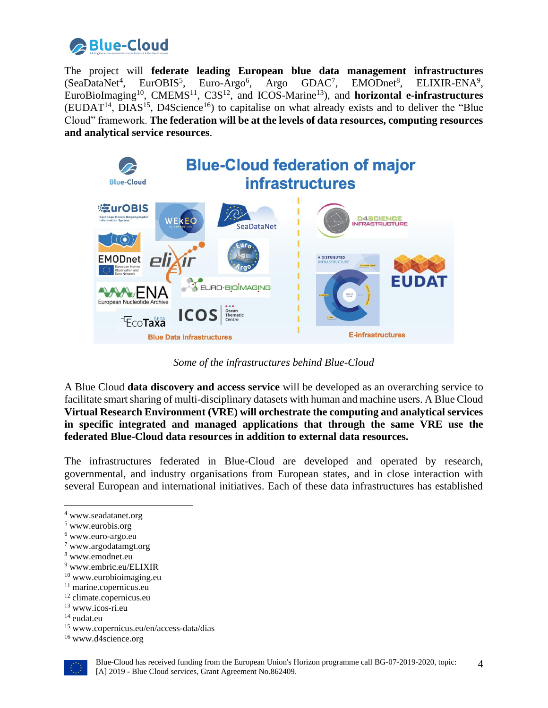

The project will **federate leading European blue data management infrastructures**  $(SeaDataNet<sup>4</sup>)$ . , EurOBIS<sup>5</sup>, Euro-Argo<sup>6</sup>, Argo GDAC<sup>7</sup>, EMODnet<sup>8</sup>, ELIXIR-ENA<sup>9</sup>, EuroBioImaging<sup>10</sup>, CMEMS<sup>11</sup>, C3S<sup>12</sup>, and ICOS-Marine<sup>13</sup>), and **horizontal e-infrastructures**  $(EUDAT<sup>14</sup>, DIAS<sup>15</sup>, D4Science<sup>16</sup>)$  to capitalise on what already exists and to deliver the "Blue" Cloud" framework. **The federation will be at the levels of data resources, computing resources and analytical service resources**.



*Some of the infrastructures behind Blue-Cloud*

A Blue Cloud **data discovery and access service** will be developed as an overarching service to facilitate smart sharing of multi-disciplinary datasets with human and machine users. A Blue Cloud **Virtual Research Environment (VRE) will orchestrate the computing and analytical services in specific integrated and managed applications that through the same VRE use the federated Blue-Cloud data resources in addition to external data resources.**

The infrastructures federated in Blue-Cloud are developed and operated by research, governmental, and industry organisations from European states, and in close interaction with several European and international initiatives. Each of these data infrastructures has established

<sup>16</sup> www.d4science.org



<sup>4</sup> www.seadatanet.org

<sup>5</sup> www.eurobis.org

<sup>6</sup> www.euro-argo.eu

<sup>7</sup> www.argodatamgt.org

<sup>8</sup> www.emodnet.eu

<sup>9</sup> www.embric.eu/ELIXIR

 $10$  www.eurobioimaging.eu

<sup>&</sup>lt;sup>11</sup> marine.copernicus.eu

<sup>&</sup>lt;sup>12</sup> climate.copernicus.eu

<sup>13</sup> www.icos-ri.eu

<sup>14</sup> eudat.eu

<sup>15</sup> www.copernicus.eu/en/access-data/dias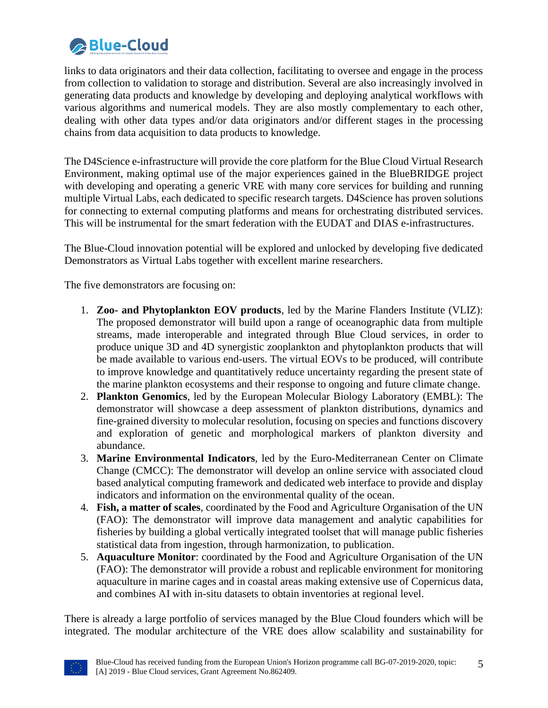

links to data originators and their data collection, facilitating to oversee and engage in the process from collection to validation to storage and distribution. Several are also increasingly involved in generating data products and knowledge by developing and deploying analytical workflows with various algorithms and numerical models. They are also mostly complementary to each other, dealing with other data types and/or data originators and/or different stages in the processing chains from data acquisition to data products to knowledge.

The D4Science e-infrastructure will provide the core platform for the Blue Cloud Virtual Research Environment, making optimal use of the major experiences gained in the BlueBRIDGE project with developing and operating a generic VRE with many core services for building and running multiple Virtual Labs, each dedicated to specific research targets. D4Science has proven solutions for connecting to external computing platforms and means for orchestrating distributed services. This will be instrumental for the smart federation with the EUDAT and DIAS e-infrastructures.

The Blue-Cloud innovation potential will be explored and unlocked by developing five dedicated Demonstrators as Virtual Labs together with excellent marine researchers.

The five demonstrators are focusing on:

- 1. **Zoo- and Phytoplankton EOV products**, led by the Marine Flanders Institute (VLIZ): The proposed demonstrator will build upon a range of oceanographic data from multiple streams, made interoperable and integrated through Blue Cloud services, in order to produce unique 3D and 4D synergistic zooplankton and phytoplankton products that will be made available to various end-users. The virtual EOVs to be produced, will contribute to improve knowledge and quantitatively reduce uncertainty regarding the present state of the marine plankton ecosystems and their response to ongoing and future climate change.
- 2. **Plankton Genomics**, led by the European Molecular Biology Laboratory (EMBL): The demonstrator will showcase a deep assessment of plankton distributions, dynamics and fine-grained diversity to molecular resolution, focusing on species and functions discovery and exploration of genetic and morphological markers of plankton diversity and abundance.
- 3. **Marine Environmental Indicators**, led by the Euro-Mediterranean Center on Climate Change (CMCC): The demonstrator will develop an online service with associated cloud based analytical computing framework and dedicated web interface to provide and display indicators and information on the environmental quality of the ocean.
- 4. **Fish, a matter of scales**, coordinated by the Food and Agriculture Organisation of the UN (FAO): The demonstrator will improve data management and analytic capabilities for fisheries by building a global vertically integrated toolset that will manage public fisheries statistical data from ingestion, through harmonization, to publication.
- 5. **Aquaculture Monitor**: coordinated by the Food and Agriculture Organisation of the UN (FAO): The demonstrator will provide a robust and replicable environment for monitoring aquaculture in marine cages and in coastal areas making extensive use of Copernicus data, and combines AI with in-situ datasets to obtain inventories at regional level.

There is already a large portfolio of services managed by the Blue Cloud founders which will be integrated. The modular architecture of the VRE does allow scalability and sustainability for